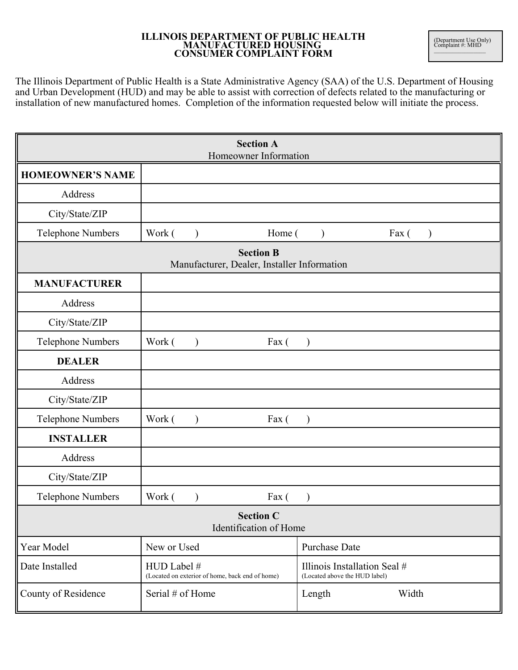## **ILLINOIS DEPARTMENT OF PUBLIC HEALTH MANUFACTURED HOUSING CONSUMER COMPLAINT FORM**

The Illinois Department of Public Health is a State Administrative Agency (SAA) of the U.S. Department of Housing and Urban Development (HUD) and may be able to assist with correction of defects related to the manufacturing or installation of new manufactured homes. Completion of the information requested below will initiate the process.

| <b>Section A</b><br>Homeowner Information                       |                                                                |                                                               |
|-----------------------------------------------------------------|----------------------------------------------------------------|---------------------------------------------------------------|
| <b>HOMEOWNER'S NAME</b>                                         |                                                                |                                                               |
| Address                                                         |                                                                |                                                               |
| City/State/ZIP                                                  |                                                                |                                                               |
| <b>Telephone Numbers</b>                                        | Work (                                                         | Home (<br>Fax (<br>$\lambda$<br>$\lambda$                     |
| <b>Section B</b><br>Manufacturer, Dealer, Installer Information |                                                                |                                                               |
| <b>MANUFACTURER</b>                                             |                                                                |                                                               |
| Address                                                         |                                                                |                                                               |
| City/State/ZIP                                                  |                                                                |                                                               |
| <b>Telephone Numbers</b>                                        | Work (<br>Fax (                                                |                                                               |
| <b>DEALER</b>                                                   |                                                                |                                                               |
| Address                                                         |                                                                |                                                               |
| City/State/ZIP                                                  |                                                                |                                                               |
| <b>Telephone Numbers</b>                                        | Work (<br>Fax (                                                |                                                               |
| <b>INSTALLER</b>                                                |                                                                |                                                               |
| Address                                                         |                                                                |                                                               |
| City/State/ZIP                                                  |                                                                |                                                               |
| <b>Telephone Numbers</b>                                        | Work (<br>Fax (                                                |                                                               |
| <b>Section C</b><br>Identification of Home                      |                                                                |                                                               |
| Year Model                                                      | New or Used                                                    | <b>Purchase Date</b>                                          |
| Date Installed                                                  | HUD Label #<br>(Located on exterior of home, back end of home) | Illinois Installation Seal #<br>(Located above the HUD label) |
| County of Residence                                             | Serial # of Home                                               | Width<br>Length                                               |